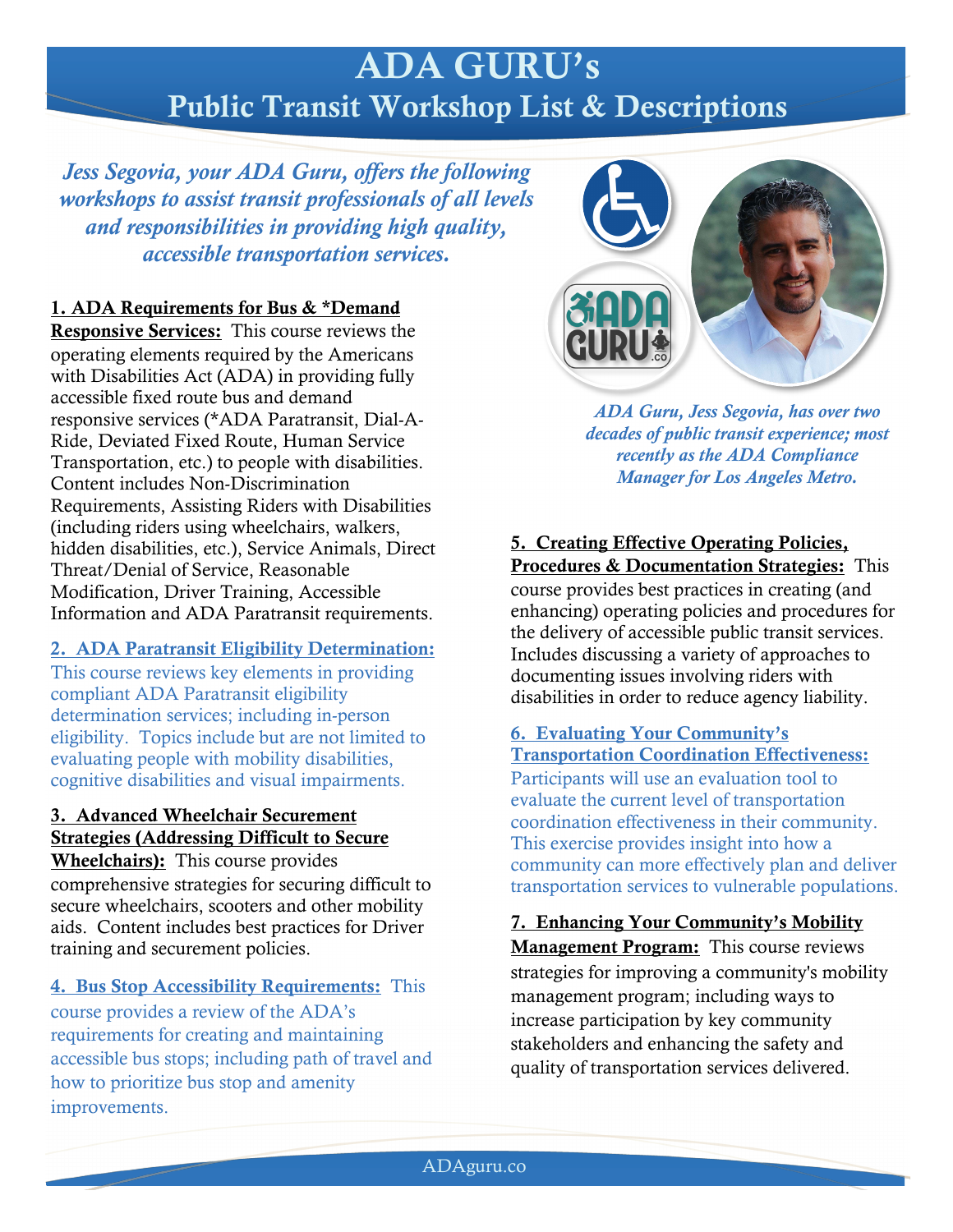# ADA GURU's Public Transit Workshop List & Descriptions

*Jess Segovia, your ADA Guru, offers the following workshops to assist transit professionals of all levels and responsibilities in providing high quality, accessible transportation services.*

# 1. ADA Requirements for Bus & \*Demand

Responsive Services: This course reviews the operating elements required by the Americans with Disabilities Act (ADA) in providing fully accessible fixed route bus and demand responsive services (\*ADA Paratransit, Dial-A-Ride, Deviated Fixed Route, Human Service Transportation, etc.) to people with disabilities. Content includes Non-Discrimination Requirements, Assisting Riders with Disabilities (including riders using wheelchairs, walkers, hidden disabilities, etc.), Service Animals, Direct Threat/Denial of Service, Reasonable Modification, Driver Training, Accessible Information and ADA Paratransit requirements.

## 2. ADA Paratransit Eligibility Determination:

This course reviews key elements in providing compliant ADA Paratransit eligibility determination services; including in-person eligibility. Topics include but are not limited to evaluating people with mobility disabilities, cognitive disabilities and visual impairments.

# 3. Advanced Wheelchair Securement Strategies (Addressing Difficult to Secure

Wheelchairs): This course provides comprehensive strategies for securing difficult to secure wheelchairs, scooters and other mobility aids. Content includes best practices for Driver training and securement policies.

4. Bus Stop Accessibility Requirements: This course provides a review of the ADA's requirements for creating and maintaining accessible bus stops; including path of travel and how to prioritize bus stop and amenity improvements.



*ADA Guru, Jess Segovia, has over two decades of public transit experience; most recently as the ADA Compliance Manager for Los Angeles Metro.*

5. Creating Effective Operating Policies, Procedures & Documentation Strategies: This course provides best practices in creating (and enhancing) operating policies and procedures for the delivery of accessible public transit services. Includes discussing a variety of approaches to documenting issues involving riders with disabilities in order to reduce agency liability.

#### 6. Evaluating Your Community's Transportation Coordination Effectiveness:

Participants will use an evaluation tool to evaluate the current level of transportation coordination effectiveness in their community. This exercise provides insight into how a community can more effectively plan and deliver transportation services to vulnerable populations.

7. Enhancing Your Community's Mobility Management Program: This course reviews strategies for improving a community's mobility management program; including ways to increase participation by key community stakeholders and enhancing the safety and quality of transportation services delivered.